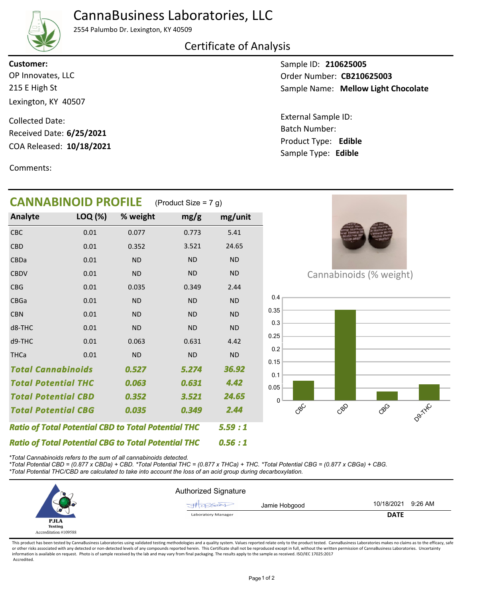# CannaBusiness Laboratories, LLC



#### 2554 Palumbo Dr. Lexington, KY 40509

### Certificate of Analysis

215 E High St Lexington, KY 40507 OP Innovates, LLC **Customer:**

COA Released: 10/18/2021 Collected Date: Received Date: **6/25/2021**

Comments:

Sample ID: **210625005** Sample Name: Mellow Light Chocolate Order Number: CB210625003

Product Type: **Edible 10/18/2021** Batch Number: External Sample ID: Sample Type: **Edible**

| <b>CANNABINOID PROFILE</b>                                 | (Product Size = 7 g) |           |           |           |  |
|------------------------------------------------------------|----------------------|-----------|-----------|-----------|--|
| Analyte                                                    | LOQ (%)              | % weight  | mg/g      | mg/unit   |  |
| CBC                                                        | 0.01                 | 0.077     | 0.773     | 5.41      |  |
| <b>CBD</b>                                                 | 0.01                 | 0.352     | 3.521     | 24.65     |  |
| CBDa                                                       | 0.01                 | <b>ND</b> | <b>ND</b> | <b>ND</b> |  |
| <b>CBDV</b>                                                | 0.01                 | <b>ND</b> | <b>ND</b> | <b>ND</b> |  |
| <b>CBG</b>                                                 | 0.01                 | 0.035     | 0.349     | 2.44      |  |
| <b>CBGa</b>                                                | 0.01                 | <b>ND</b> | <b>ND</b> | <b>ND</b> |  |
| <b>CBN</b>                                                 | 0.01                 | <b>ND</b> | <b>ND</b> | <b>ND</b> |  |
| d8-THC                                                     | 0.01                 | <b>ND</b> | <b>ND</b> | <b>ND</b> |  |
| d9-THC                                                     | 0.01                 | 0.063     | 0.631     | 4.42      |  |
| <b>THCa</b>                                                | 0.01                 | <b>ND</b> | <b>ND</b> | <b>ND</b> |  |
| <b>Total Cannabinoids</b>                                  |                      | 0.527     | 5.274     | 36.92     |  |
| <b>Total Potential THC</b>                                 |                      | 0.063     | 0.631     | 4.42      |  |
| <b>Total Potential CBD</b>                                 |                      | 0.352     | 3.521     | 24.65     |  |
| <b>Total Potential CBG</b>                                 |                      | 0.035     | 0.349     | 2.44      |  |
| <b>Ratio of Total Potential CBD to Total Potential THC</b> | 5.59:1               |           |           |           |  |
| <b>Ratio of Total Potential CBG to Total Potential THC</b> | 0.56:1               |           |           |           |  |



Cannabinoids (% weight)



*\*Total Cannabinoids refers to the sum of all cannabinoids detected.*

*\*Total Potential CBD = (0.877 x CBDa) + CBD. \*Total Potential THC = (0.877 x THCa) + THC. \*Total Potential CBG = (0.877 x CBGa) + CBG.*

*\*Total Potential THC/CBD are calculated to take into account the loss of an acid group during decarboxylation.*



This product has been tested by CannaBusiness Laboratories using validated testing methodologies and a quality system. Values reported relate only to the product tested. CannaBusiness Laboratories makes no claims as to the or other risks associated with any detected or non-detected levels of any compounds reported herein. This Certificate shall not be reproduced except in full, without the written permission of CannaBusiness Laboratories. Un information is available on request. Photo is of sample received by the lab and may vary from final packaging. The results apply to the sample as received. ISO/IEC 17025:2017 Accredited.